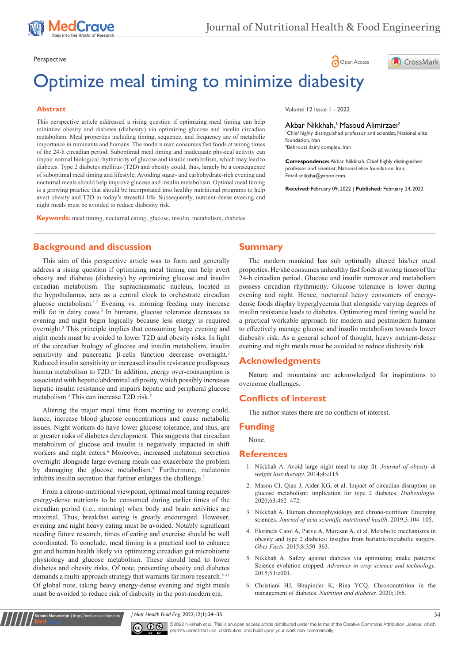

# Perspective **Contract Contract Contract Contract Contract Contract Contract Contract Contract Contract Contract Contract Contract Contract Contract Contract Contract Contract Contract Contract Contract Contract Contract Co**



# Optimize meal timing to minimize diabesity

### **Abstract**

This perspective article addressed a rising question if optimizing meal timing can help minimize obesity and diabetes (diabesity) via optimizing glucose and insulin circadian metabolism. Meal properties including timing, sequence, and frequency are of metabolic importance in ruminants and humans. The modern man consumes fast foods at wrong times of the 24-h circadian period. Suboptimal meal timing and inadequate physical activity can impair normal biological rhythmicity of glucose and insulin metabolism, which may lead to diabetes. Type 2 diabetes mellitus (T2D) and obesity could, thus, largely be a consequence of suboptimal meal timing and lifestyle. Avoiding sugar- and carbohydrate-rich evening and nocturnal meals should help improve glucose and insulin metabolism. Optimal meal timing is a growing practice that should be incorporated into healthy nutritional programs to help avert obesity and T2D in today's stressful life. Subsequently, nutrient-dense evening and night meals must be avoided to reduce diabesity risk.

**Keywords:** meal timing, nocturnal eating, glucose, insulin, metabolism, diabetes

**Background and discussion**

This aim of this perspective article was to form and generally address a rising question if optimizing meal timing can help avert obesity and diabetes (diabesity) by optimizing glucose and insulin circadian metabolism. The suprachiasmatic nucleus, located in the hypothalamus, acts as a central clock to orchestrate circadian glucose metabolism.1,2 Evening vs. morning feeding may increase milk fat in dairy cows.<sup>3</sup> In humans, glucose tolerance decreases as evening and night begin logically because less energy is required overnight.3 This principle implies that consuming large evening and night meals must be avoided to lower T2D and obesity risks. In light of the circadian biology of glucose and insulin metabolism, insulin sensitivity and pancreatic β-cells function decrease overnight.<sup>2</sup> Reduced insulin sensitivity or increased insulin resistance predisposes human metabolism to T2D.<sup>4</sup> In addition, energy over-consumption is associated with hepatic/abdominal adiposity, which possibly increases hepatic insulin resistance and impairs hepatic and peripheral glucose metabolism.4 This can increase T2D risk.5

Altering the major meal time from morning to evening could, hence, increase blood glucose concentrations and cause metabolic issues. Night workers do have lower glucose tolerance, and thus, are at greater risks of diabetes development. This suggests that circadian metabolism of glucose and insulin is negatively impacted in shift workers and night eaters.<sup>6</sup> Moreover, increased melatonin secretion overnight alongside large evening meals can exacerbate the problem by damaging the glucose metabolism.<sup>7</sup> Furthermore, melatonin inhibits insulin secretion that further enlarges the challenge.<sup>7</sup>

From a chrono-nutritional viewpoint, optimal meal timing requires energy-dense nutrients to be consumed during earlier times of the circadian period (i.e., morning) when body and brain activities are maximal. Thus, breakfast eating is greatly encouraged. However, evening and night heavy eating must be avoided. Notably significant needing future research, times of eating and exercise should be well coordinated. To conclude, meal timing is a practical tool to enhance gut and human health likely via optimizing circadian gut microbiome physiology and glucose metabolism. These should lead to lower diabetes and obesity risks. Of note, preventing obesity and diabetes demands a multi-approach strategy that warrants far more research.<sup>8-11</sup> Of global note, taking heavy energy-dense evening and night meals must be avoided to reduce risk of diabesity in the post-modern era.

**it Manuscript** | http://medcraveonline.co

#### Volume 12 Issue 1 - 2022

Akbar Nikkhah,<sup>1</sup> Masoud Alimirzaei<sup>2</sup>

1 Chief highly distinguished professor and scientist, National elite foundation, Iran 2 Behroozi dairy complex, Iran

**Correspondence:** Akbar Nikkhah, Chief highly distinguished professor and scientist, National elite foundation, Iran, Email anikkha@yahoo.com

**Received:** February 09, 2022 | **Published:** February 24, 2022

**Summary**

The modern mankind has sub optimally altered his/her meal properties. He/she consumes unhealthy fast foods at wrong times of the 24-h circadian period. Glucose and insulin turnover and metabolism possess circadian rhythmicity. Glucose tolerance is lower during evening and night. Hence, nocturnal heavy consumers of energydense foods display hyperglycemia that alongside varying degrees of insulin resistance leads to diabetes. Optimizing meal timing would be a practical workable approach for modern and postmodern humans to effectively manage glucose and insulin metabolism towards lower diabesity risk. As a general school of thought, heavy nutrient-dense evening and night meals must be avoided to reduce diabesity risk.

# **Acknowledgments**

Nature and mountains are acknowledged for inspirations to overcome challenges.

# **Conflicts of interest**

The author states there are no conflicts of interest.

## **Funding**

#### None.

#### **References**

- 1. [Nikkhah A. Avoid large night meal to stay fit.](https://www.omicsonline.org/open-access/avoid-large-night-meals-to-stay-fit-2165-7904-4-e115.php?aid=35313) *Journal of obesity & [weight loss therapy](https://www.omicsonline.org/open-access/avoid-large-night-meals-to-stay-fit-2165-7904-4-e115.php?aid=35313)*. 2014;4:e115.
- 2. [Mason CI, Qian J, Alder KG, et al. Impact of circadian disruption on](https://pubmed.ncbi.nlm.nih.gov/31915891/)  [glucose metabolism: implication for type 2 diabetes.](https://pubmed.ncbi.nlm.nih.gov/31915891/) *Diabetologia*. [2020;63:462–472.](https://pubmed.ncbi.nlm.nih.gov/31915891/)
- 3. [Nikkhah A. Human chronophysiology and chrono-nutrition: Emerging](https://www.actascientific.com/ASNH/pdf/ASNH-03-0330.pdf)  sciences. *[Journal of acta scientific nutritional health](https://www.actascientific.com/ASNH/pdf/ASNH-03-0330.pdf)*. 2019;3:104–105.
- 4. [Florinela Catoi A, Parvu A, Muresan A, et al. Metabolic mechanisms in](https://pubmed.ncbi.nlm.nih.gov/26584027/)  [obesity and type 2 diabetes: insights from bariatric/metabolic surgery.](https://pubmed.ncbi.nlm.nih.gov/26584027/)  *Obes Facts*[. 2015;8:350–363.](https://pubmed.ncbi.nlm.nih.gov/26584027/)
- 5. [Nikkhah A. Safety against diabetes via optimizing intake patterns:](https://www.omicsonline.org/open-access/safety-against-diabetes-via-optimizing-circadian-intake-patterns-science-evolution-cropped-2329-8863-1000S1-e001.php?aid=54688)  Science evolution cropped. *[Advances in crop science and technology](https://www.omicsonline.org/open-access/safety-against-diabetes-via-optimizing-circadian-intake-patterns-science-evolution-cropped-2329-8863-1000S1-e001.php?aid=54688)*. [2015;S1:e001.](https://www.omicsonline.org/open-access/safety-against-diabetes-via-optimizing-circadian-intake-patterns-science-evolution-cropped-2329-8863-1000S1-e001.php?aid=54688)
- 6. [Christiani HJ, Bhupinder K, Rina YCQ. Chrononutrition in the](https://pubmed.ncbi.nlm.nih.gov/32075959/)  [management of diabetes.](https://pubmed.ncbi.nlm.nih.gov/32075959/) *Nutrition and diabetes*. 2020;10:6.

*J Nutr Health Food Eng.* 2022;12(1):34‒35. 34



©2022 Nikkhah et al. This is an open access article distributed under the terms of the Creative Commons Attribution License, which permits unrestrited use, distribution, and build upon your work non-commercially.